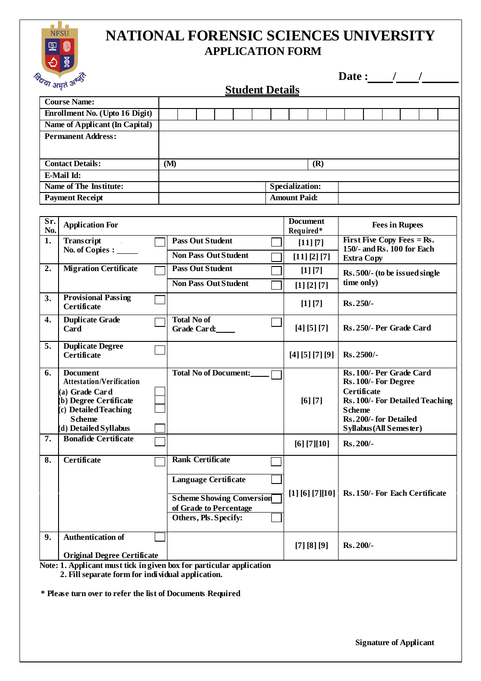

## **NATIONAL FORENSIC SCIENCES UNIVERSITY APPLICATION FORM**

| Date : |  |  |  |
|--------|--|--|--|
|        |  |  |  |

| <sup>न्या</sup> अमृत <sup>ऊ</sup> |                                                      | <b>Student Details</b>                                     |                                   |  |  |  |  |           |                  |                 |  |                                                                               |                          |  |                       |  |  |
|-----------------------------------|------------------------------------------------------|------------------------------------------------------------|-----------------------------------|--|--|--|--|-----------|------------------|-----------------|--|-------------------------------------------------------------------------------|--------------------------|--|-----------------------|--|--|
|                                   | <b>Course Name:</b>                                  |                                                            |                                   |  |  |  |  |           |                  |                 |  |                                                                               |                          |  |                       |  |  |
|                                   | Enrollment No. (Upto 16 Digit)                       |                                                            |                                   |  |  |  |  |           |                  |                 |  |                                                                               |                          |  |                       |  |  |
|                                   | Name of Applicant (In Capital)                       |                                                            |                                   |  |  |  |  |           |                  |                 |  |                                                                               |                          |  |                       |  |  |
|                                   | <b>Permanent Address:</b>                            |                                                            |                                   |  |  |  |  |           |                  |                 |  |                                                                               |                          |  |                       |  |  |
|                                   |                                                      |                                                            |                                   |  |  |  |  |           |                  |                 |  |                                                                               |                          |  |                       |  |  |
| <b>Contact Details:</b>           |                                                      |                                                            | (M)                               |  |  |  |  |           |                  | (R)             |  |                                                                               |                          |  |                       |  |  |
|                                   | E-Mail Id:                                           |                                                            |                                   |  |  |  |  |           |                  |                 |  |                                                                               |                          |  |                       |  |  |
| <b>Name of The Institute:</b>     |                                                      |                                                            | <b>Specialization:</b>            |  |  |  |  |           |                  |                 |  |                                                                               |                          |  |                       |  |  |
| <b>Payment Receipt</b>            |                                                      |                                                            | <b>Amount Paid:</b>               |  |  |  |  |           |                  |                 |  |                                                                               |                          |  |                       |  |  |
|                                   |                                                      |                                                            |                                   |  |  |  |  |           |                  |                 |  |                                                                               |                          |  |                       |  |  |
| Sr.                               | <b>Application For</b>                               |                                                            |                                   |  |  |  |  |           |                  | <b>Document</b> |  |                                                                               |                          |  | <b>Fees in Rupees</b> |  |  |
| No.                               |                                                      |                                                            | <b>Pass Out Student</b>           |  |  |  |  | Required* |                  |                 |  |                                                                               |                          |  |                       |  |  |
| 1.                                | Transcript<br>No. of Copies : _____                  |                                                            |                                   |  |  |  |  |           |                  | [11] [7]        |  | <b>First Five Copy Fees = Rs.</b><br>150/- and Rs. 100 for Each               |                          |  |                       |  |  |
|                                   |                                                      |                                                            | <b>Non Pass Out Student</b>       |  |  |  |  |           |                  | [11] [2] [7]    |  |                                                                               | <b>Extra Copy</b>        |  |                       |  |  |
| 2.                                | <b>Migration Certificate</b>                         |                                                            | <b>Pass Out Student</b>           |  |  |  |  |           |                  | [1] [7]         |  | Rs. 500/- (to be issued single                                                |                          |  |                       |  |  |
|                                   |                                                      |                                                            | <b>Non Pass Out Student</b>       |  |  |  |  |           |                  | [1] [2] [7]     |  |                                                                               | time only)               |  |                       |  |  |
| 3.                                | <b>Provisional Passing</b>                           |                                                            |                                   |  |  |  |  |           |                  | [1] [7]         |  | Rs.250/-                                                                      |                          |  |                       |  |  |
|                                   | <b>Certificate</b>                                   |                                                            |                                   |  |  |  |  |           |                  |                 |  |                                                                               |                          |  |                       |  |  |
| 4.                                | <b>Duplicate Grade</b><br>Card                       |                                                            | <b>Total No of</b><br>Grade Card: |  |  |  |  |           |                  | [4] [5] [7]     |  |                                                                               | Rs. 250/- Per Grade Card |  |                       |  |  |
|                                   |                                                      |                                                            |                                   |  |  |  |  |           |                  |                 |  |                                                                               |                          |  |                       |  |  |
| 5.                                | <b>Duplicate Degree</b>                              |                                                            |                                   |  |  |  |  |           |                  |                 |  |                                                                               | Rs.2500/-                |  |                       |  |  |
|                                   | <b>Certificate</b>                                   |                                                            |                                   |  |  |  |  |           |                  | [4] [5] [7] [9] |  |                                                                               |                          |  |                       |  |  |
| 6.                                | <b>Document</b>                                      |                                                            | <b>Total No of Document:</b>      |  |  |  |  |           |                  |                 |  |                                                                               | Rs. 100/- Per Grade Card |  |                       |  |  |
|                                   | <b>Attestation/Verification</b>                      |                                                            |                                   |  |  |  |  |           |                  |                 |  |                                                                               | Rs. 100/- For Degree     |  |                       |  |  |
|                                   | (a) Grade Card<br>b) Degree Certificate              |                                                            |                                   |  |  |  |  |           |                  | [6] [7]         |  | <b>Certificate</b><br><b>Rs. 100/- For Detailed Teaching</b><br><b>Scheme</b> |                          |  |                       |  |  |
|                                   | (c) Detailed Teaching                                |                                                            |                                   |  |  |  |  |           |                  |                 |  |                                                                               |                          |  |                       |  |  |
|                                   | <b>Scheme</b>                                        |                                                            |                                   |  |  |  |  |           |                  |                 |  |                                                                               | Rs. 200/- for Detailed   |  |                       |  |  |
| 7.                                | (d) Detailed Syllabus<br><b>Bonafide Certificate</b> |                                                            |                                   |  |  |  |  |           |                  |                 |  |                                                                               | Syllabus (All Semester)  |  |                       |  |  |
|                                   |                                                      |                                                            |                                   |  |  |  |  |           |                  | [6] [7][10]     |  | $Rs.200/-$                                                                    |                          |  |                       |  |  |
| 8.                                | <b>Certificate</b>                                   |                                                            | <b>Rank Certificate</b>           |  |  |  |  |           |                  |                 |  |                                                                               |                          |  |                       |  |  |
|                                   |                                                      |                                                            |                                   |  |  |  |  |           |                  |                 |  |                                                                               |                          |  |                       |  |  |
|                                   |                                                      |                                                            | <b>Language Certificate</b>       |  |  |  |  |           |                  |                 |  |                                                                               |                          |  |                       |  |  |
|                                   |                                                      | <b>Scheme Showing Conversion</b><br>of Grade to Percentage |                                   |  |  |  |  |           | [1] [6] [7] [10] |                 |  | Rs. 150/- For Each Certificate                                                |                          |  |                       |  |  |
|                                   |                                                      |                                                            |                                   |  |  |  |  |           |                  |                 |  |                                                                               |                          |  |                       |  |  |
|                                   |                                                      |                                                            | Others, Pls. Specify:             |  |  |  |  |           |                  |                 |  |                                                                               |                          |  |                       |  |  |
| 9.                                | <b>Authentication of</b>                             |                                                            |                                   |  |  |  |  |           |                  |                 |  |                                                                               |                          |  |                       |  |  |
|                                   |                                                      |                                                            |                                   |  |  |  |  |           |                  | [7] [8] [9]     |  | Rs.200/-                                                                      |                          |  |                       |  |  |
|                                   | <b>Original Degree Certificate</b>                   |                                                            |                                   |  |  |  |  |           |                  |                 |  |                                                                               |                          |  |                       |  |  |

**Note: 1. Applicant must tick in given box for particular application**

**2. Fill separate form for individual application.**

**\* Please turn over to refer the list of Documents Required**